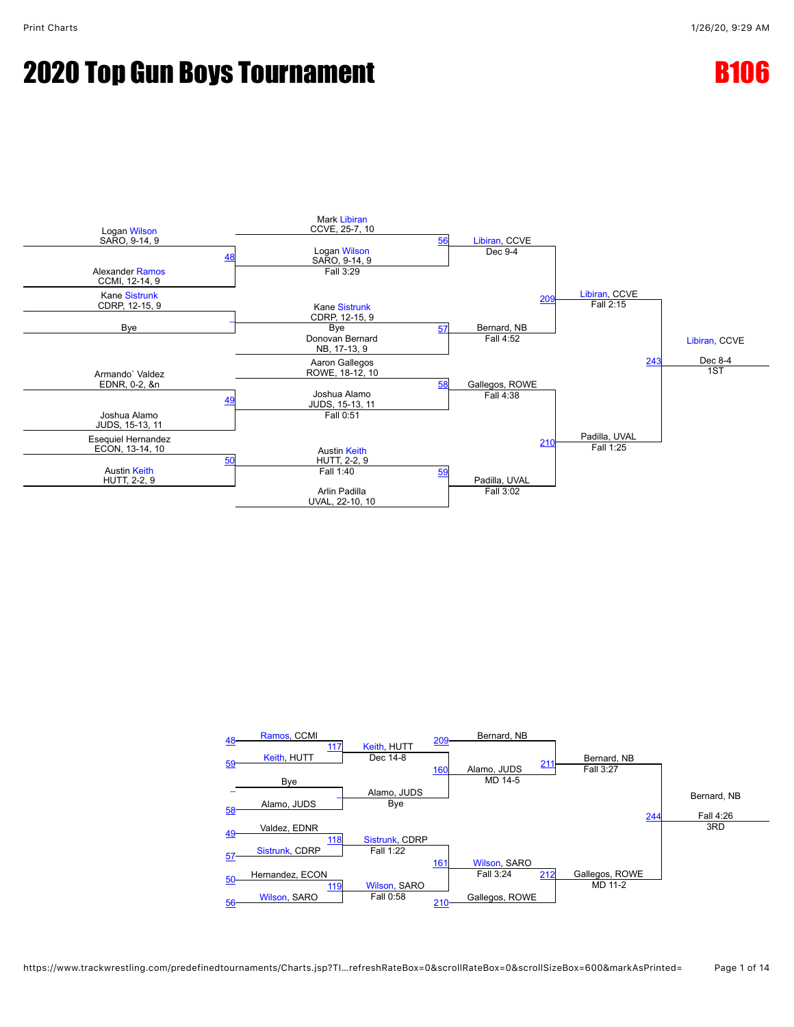



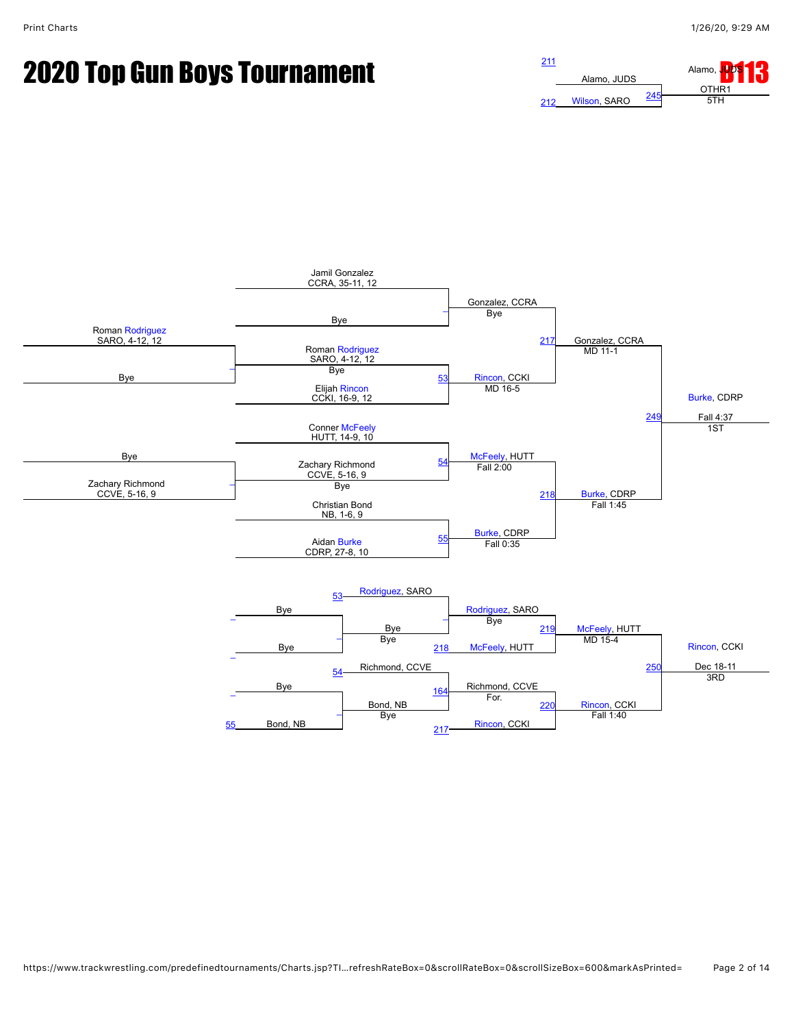# **2020 Top Gun Boys Tournament**  $\frac{211}{211}$  $\frac{211}{211}$  $\frac{211}{211}$



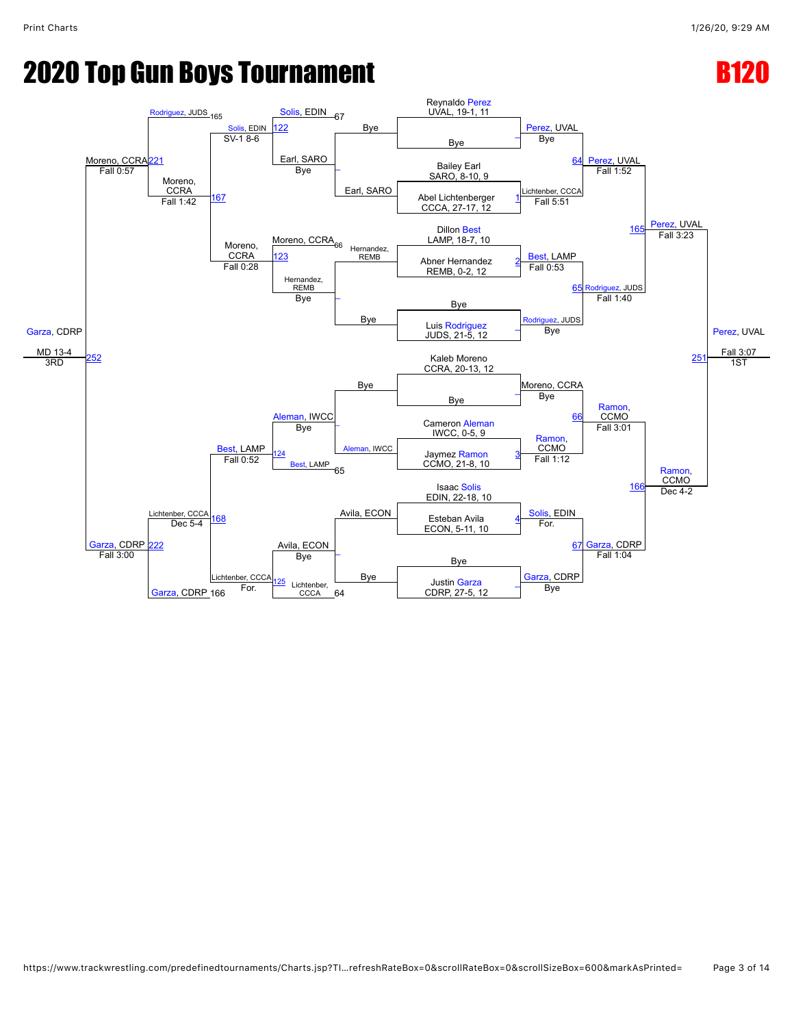### **2020 Top Gun Boys Tournament B12020 Top Gun Boys Tournament**

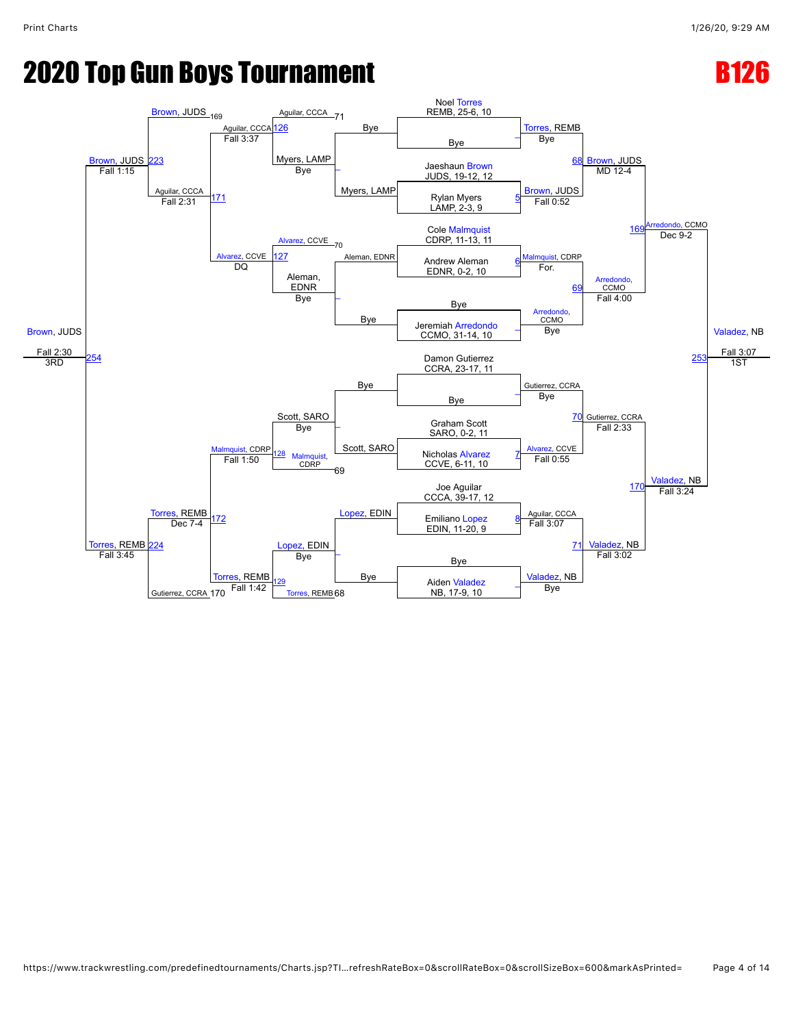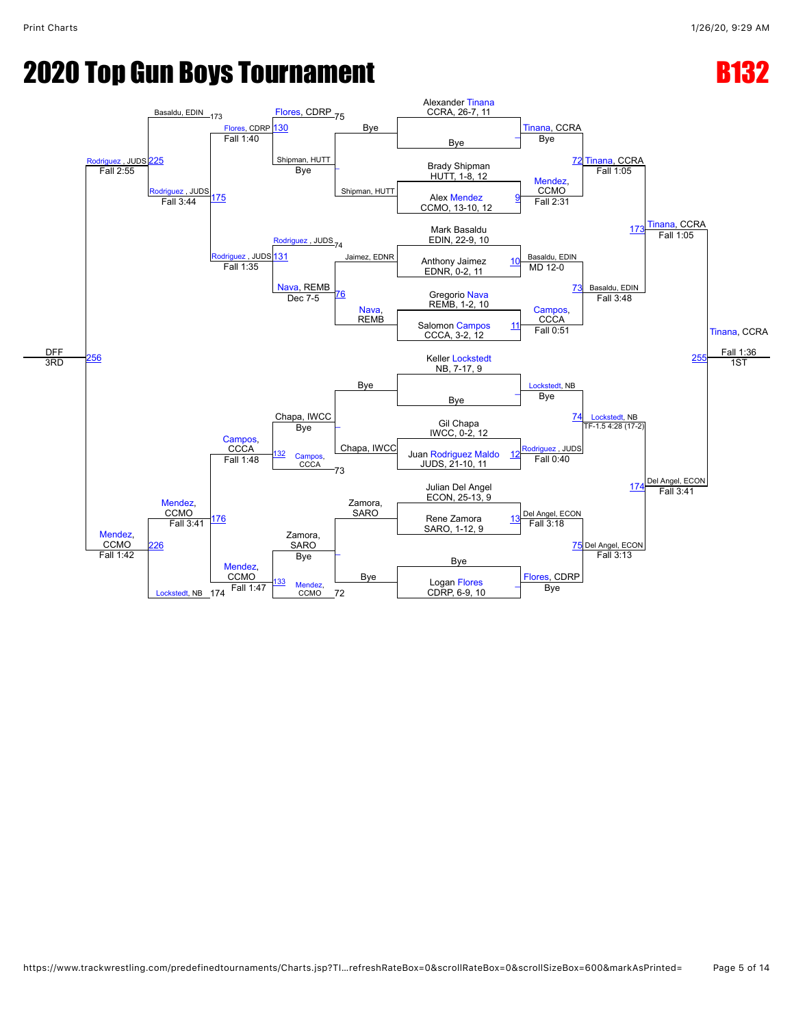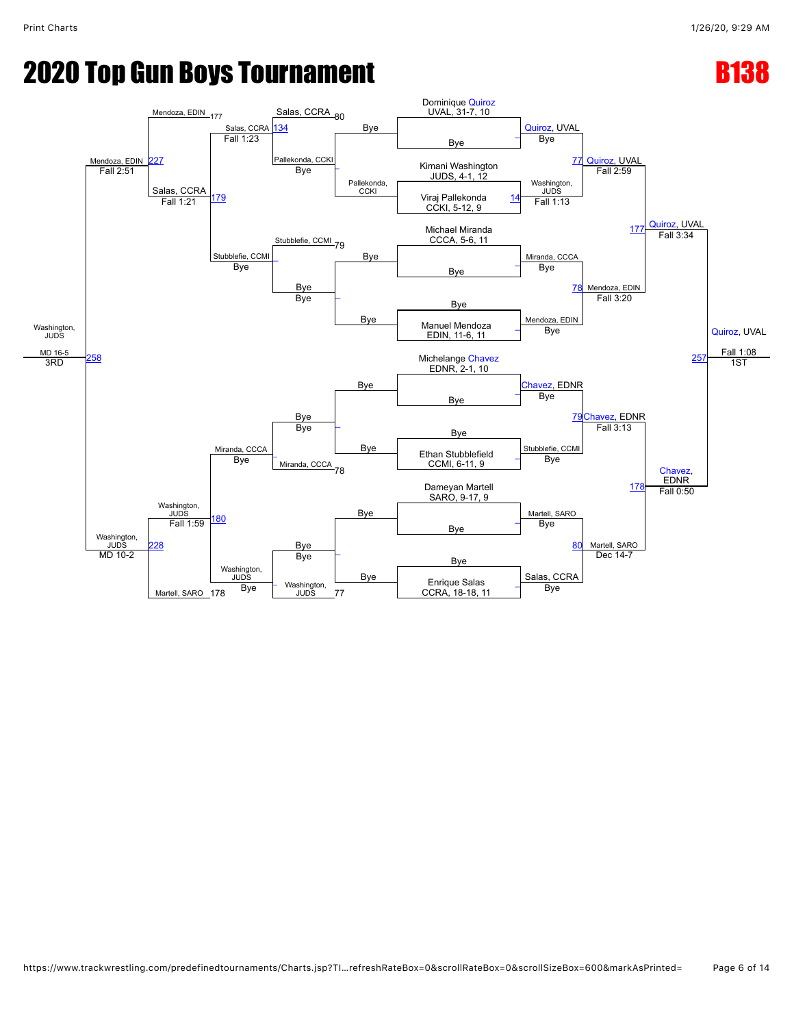### **2020 Top Gun Boys Tournament B138 RMS**

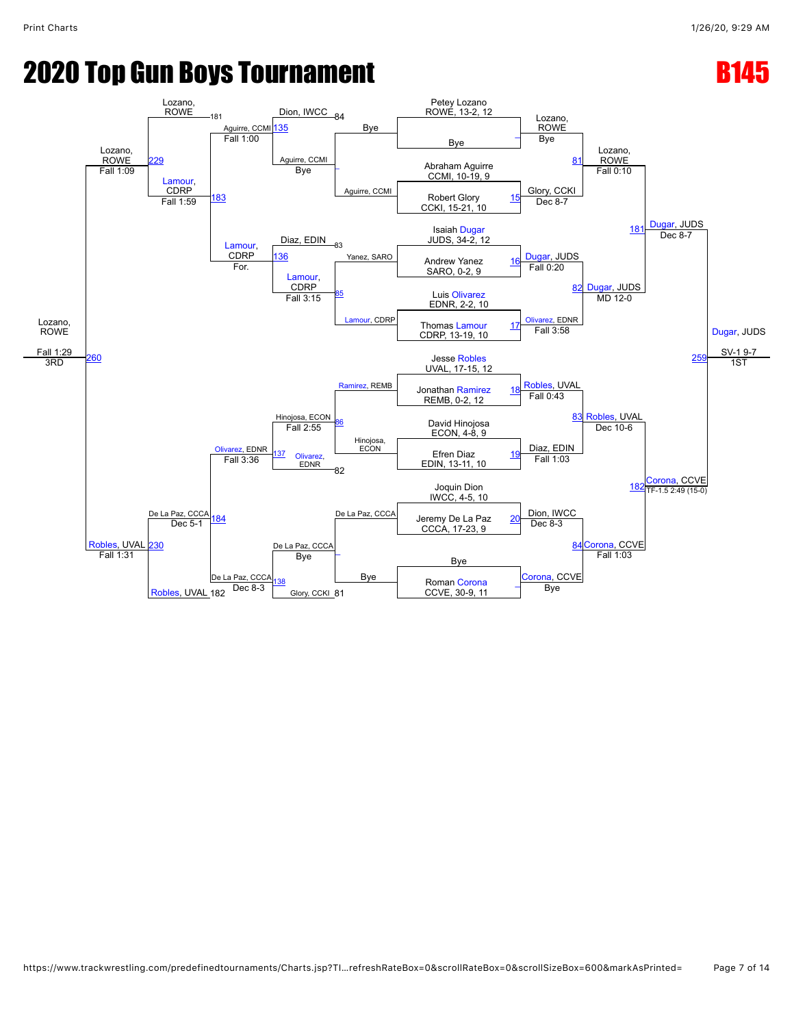# **2020 Top Gun Boys Tournament B145 Example B145**

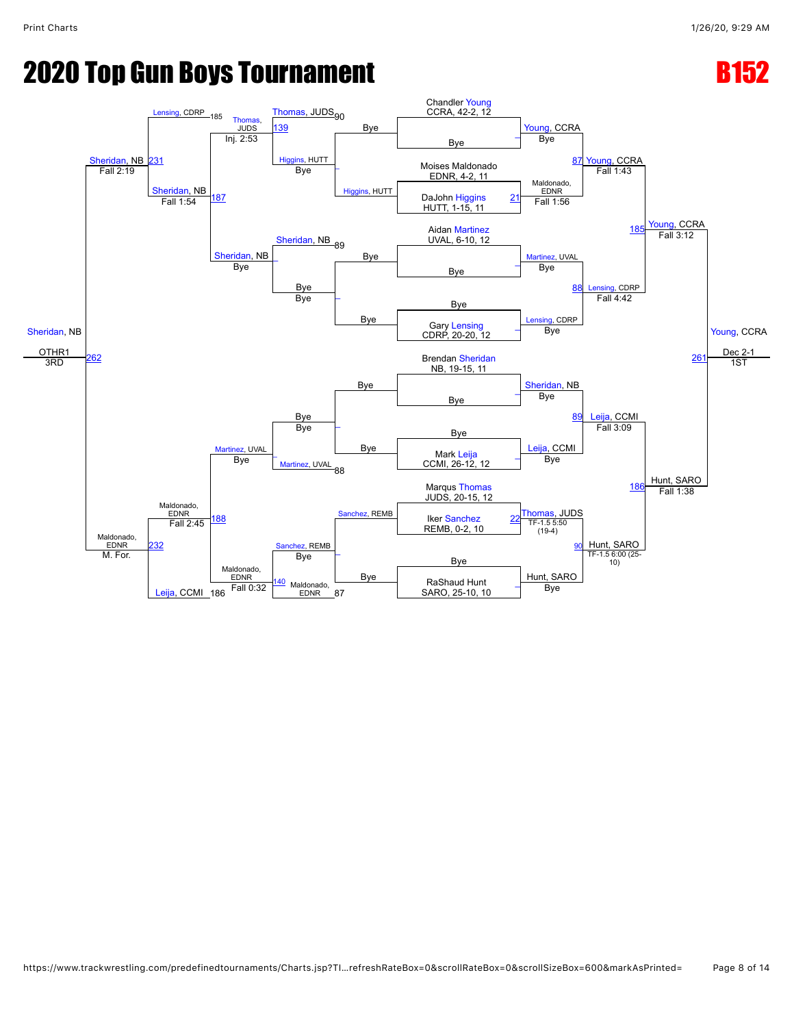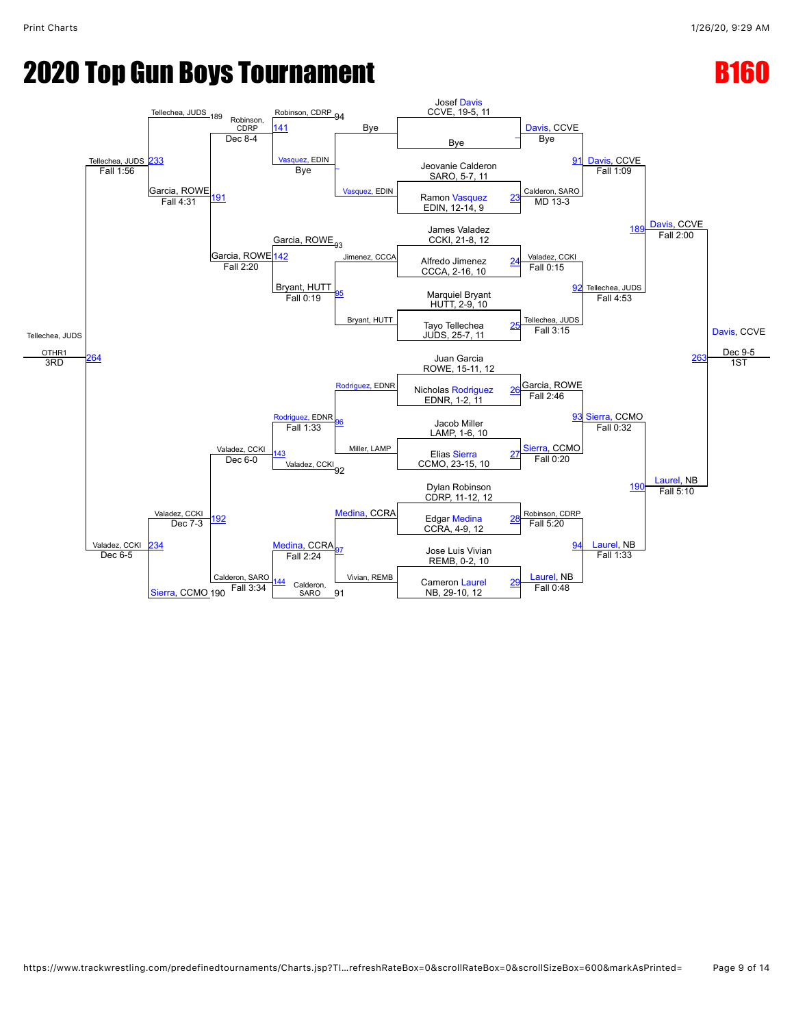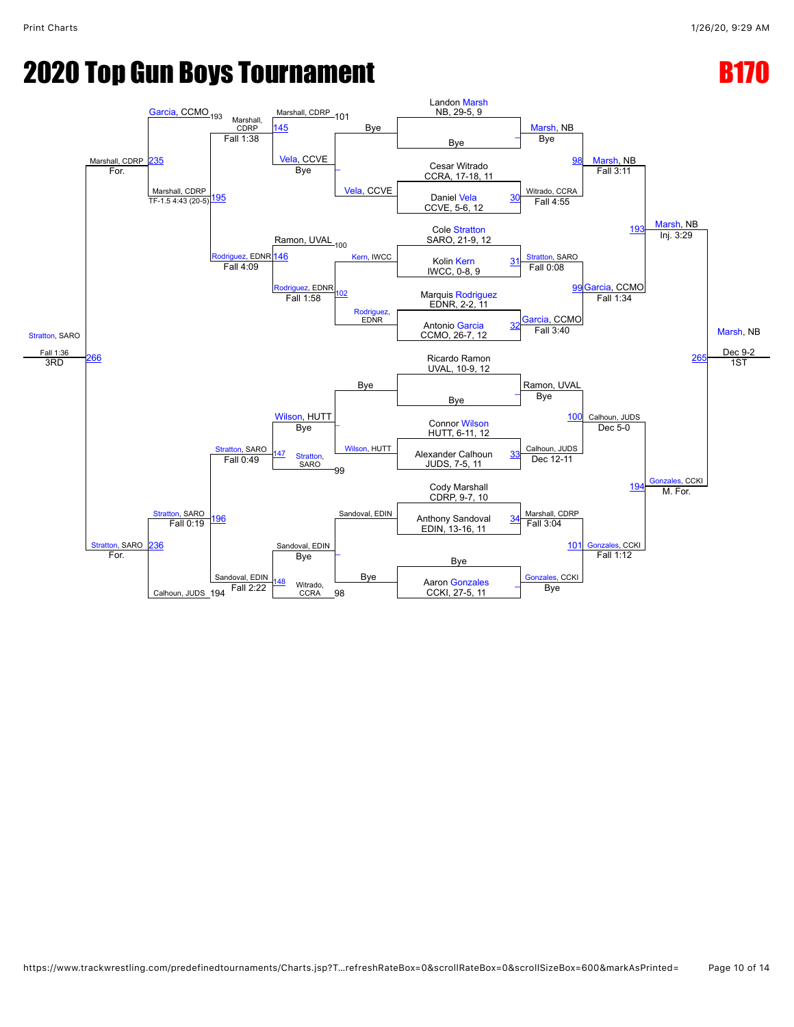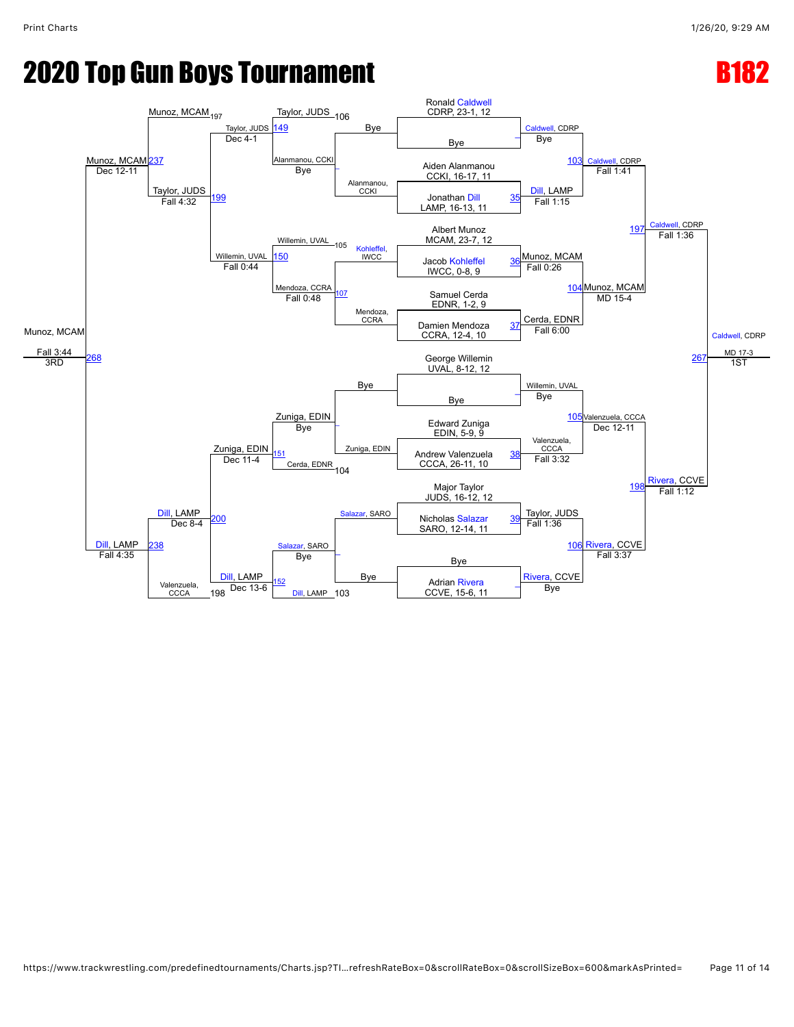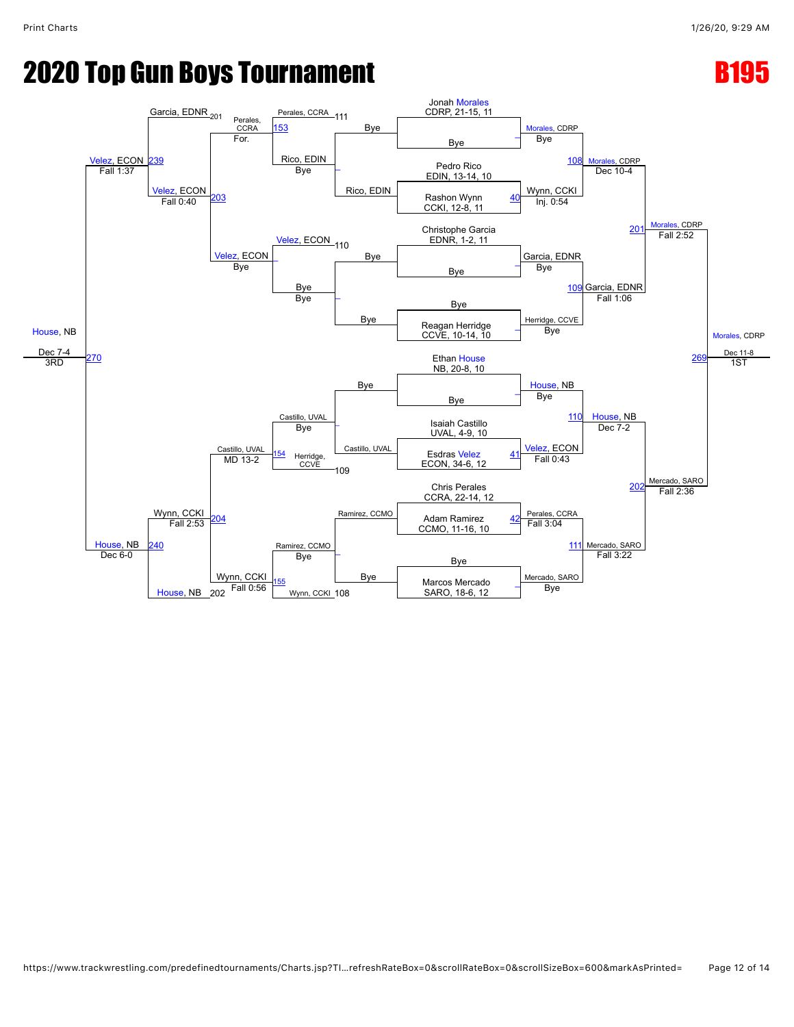### **2020 Top Gun Boys Tournament B195 CONTROLLER B195**

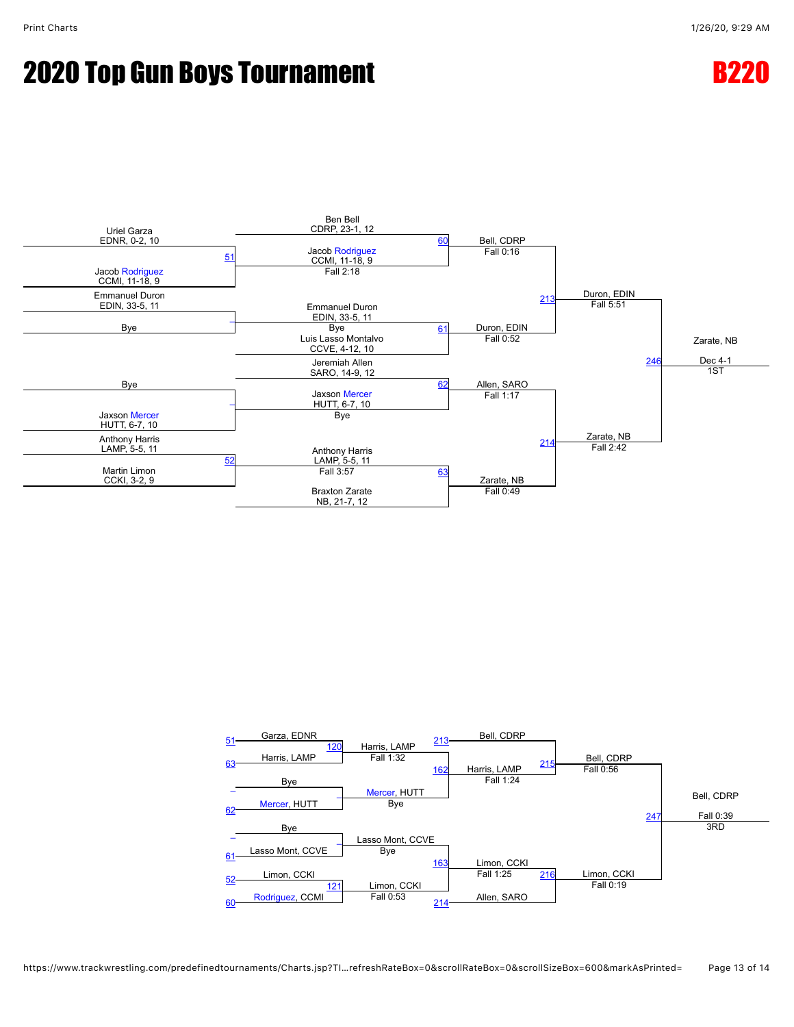